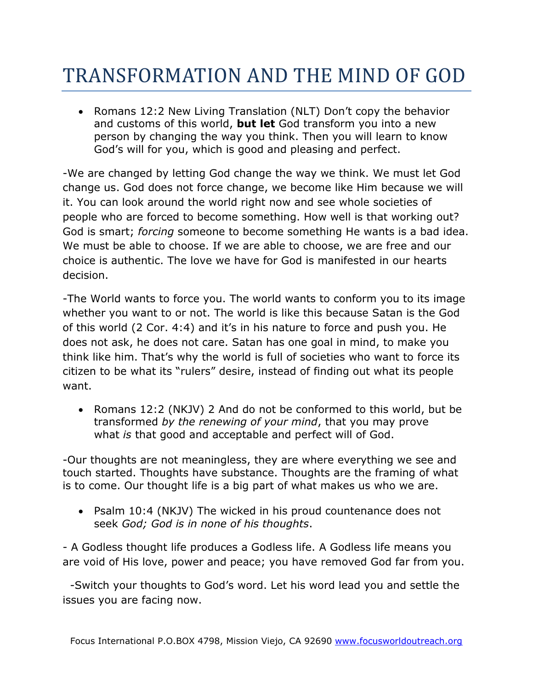## TRANSFORMATION AND THE MIND OF GOD

• Romans 12:2 New Living Translation (NLT) Don't copy the behavior and customs of this world, **but let** God transform you into a new person by changing the way you think. Then you will learn to know God's will for you, which is good and pleasing and perfect.

-We are changed by letting God change the way we think. We must let God change us. God does not force change, we become like Him because we will it. You can look around the world right now and see whole societies of people who are forced to become something. How well is that working out? God is smart; *forcing* someone to become something He wants is a bad idea. We must be able to choose. If we are able to choose, we are free and our choice is authentic. The love we have for God is manifested in our hearts decision.

-The World wants to force you. The world wants to conform you to its image whether you want to or not. The world is like this because Satan is the God of this world (2 Cor. 4:4) and it's in his nature to force and push you. He does not ask, he does not care. Satan has one goal in mind, to make you think like him. That's why the world is full of societies who want to force its citizen to be what its "rulers" desire, instead of finding out what its people want.

• Romans 12:2 (NKJV) 2 And do not be conformed to this world, but be transformed *by the renewing of your mind*, that you may prove what *is* that good and acceptable and perfect will of God.

-Our thoughts are not meaningless, they are where everything we see and touch started. Thoughts have substance. Thoughts are the framing of what is to come. Our thought life is a big part of what makes us who we are.

• Psalm 10:4 (NKJV) The wicked in his proud countenance does not seek *God; God is in none of his thoughts*.

- A Godless thought life produces a Godless life. A Godless life means you are void of His love, power and peace; you have removed God far from you.

-Switch your thoughts to God's word. Let his word lead you and settle the issues you are facing now.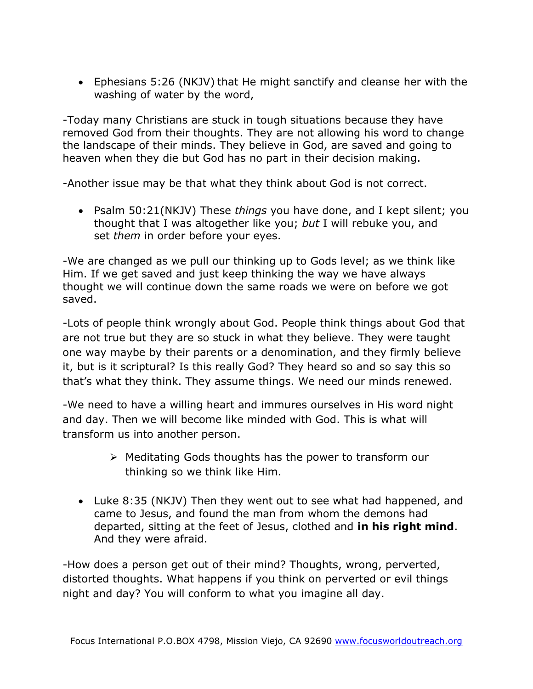Ephesians 5:26 (NKJV) that He might sanctify and cleanse her with the washing of water by the word,

-Today many Christians are stuck in tough situations because they have removed God from their thoughts. They are not allowing his word to change the landscape of their minds. They believe in God, are saved and going to heaven when they die but God has no part in their decision making.

-Another issue may be that what they think about God is not correct.

 Psalm 50:21(NKJV) These *things* you have done, and I kept silent; you thought that I was altogether like you; *but* I will rebuke you, and set *them* in order before your eyes.

-We are changed as we pull our thinking up to Gods level; as we think like Him. If we get saved and just keep thinking the way we have always thought we will continue down the same roads we were on before we got saved.

-Lots of people think wrongly about God. People think things about God that are not true but they are so stuck in what they believe. They were taught one way maybe by their parents or a denomination, and they firmly believe it, but is it scriptural? Is this really God? They heard so and so say this so that's what they think. They assume things. We need our minds renewed.

-We need to have a willing heart and immures ourselves in His word night and day. Then we will become like minded with God. This is what will transform us into another person.

- $\triangleright$  Meditating Gods thoughts has the power to transform our thinking so we think like Him.
- Luke 8:35 (NKJV) Then they went out to see what had happened, and came to Jesus, and found the man from whom the demons had departed, sitting at the feet of Jesus, clothed and **in his right mind**. And they were afraid.

-How does a person get out of their mind? Thoughts, wrong, perverted, distorted thoughts. What happens if you think on perverted or evil things night and day? You will conform to what you imagine all day.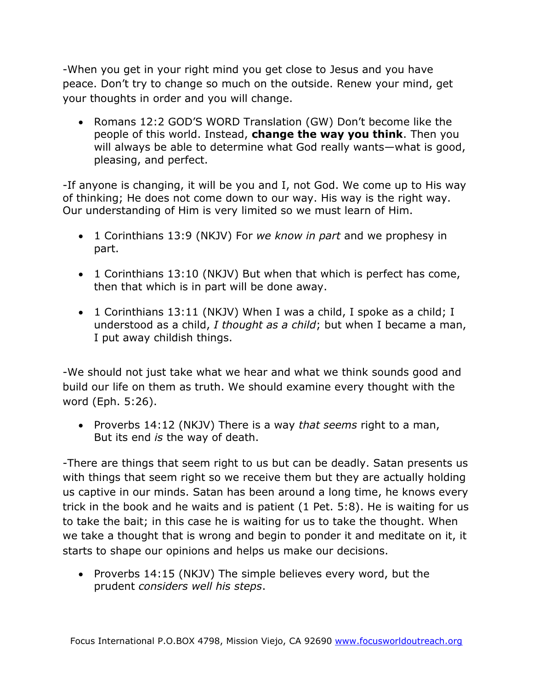-When you get in your right mind you get close to Jesus and you have peace. Don't try to change so much on the outside. Renew your mind, get your thoughts in order and you will change.

• Romans 12:2 GOD'S WORD Translation (GW) Don't become like the people of this world. Instead, **change the way you think**. Then you will always be able to determine what God really wants—what is good, pleasing, and perfect.

-If anyone is changing, it will be you and I, not God. We come up to His way of thinking; He does not come down to our way. His way is the right way. Our understanding of Him is very limited so we must learn of Him.

- 1 Corinthians 13:9 (NKJV) For *we know in part* and we prophesy in part.
- 1 Corinthians 13:10 (NKJV) But when that which is perfect has come, then that which is in part will be done away.
- 1 Corinthians 13:11 (NKJV) When I was a child, I spoke as a child; I understood as a child, *I thought as a child*; but when I became a man, I put away childish things.

-We should not just take what we hear and what we think sounds good and build our life on them as truth. We should examine every thought with the word (Eph. 5:26).

 Proverbs 14:12 (NKJV) There is a way *that seems* right to a man, But its end *is* the way of death.

-There are things that seem right to us but can be deadly. Satan presents us with things that seem right so we receive them but they are actually holding us captive in our minds. Satan has been around a long time, he knows every trick in the book and he waits and is patient (1 Pet. 5:8). He is waiting for us to take the bait; in this case he is waiting for us to take the thought. When we take a thought that is wrong and begin to ponder it and meditate on it, it starts to shape our opinions and helps us make our decisions.

• Proverbs 14:15 (NKJV) The simple believes every word, but the prudent *considers well his steps*.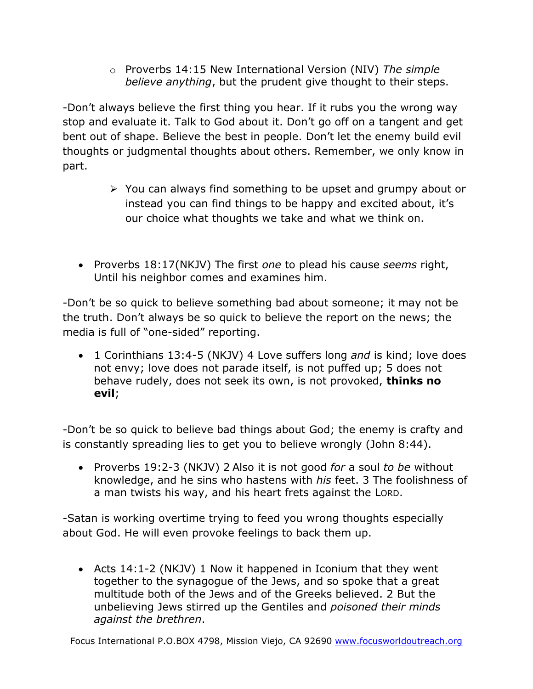o Proverbs 14:15 New International Version (NIV) *The simple believe anything*, but the prudent give thought to their steps.

-Don't always believe the first thing you hear. If it rubs you the wrong way stop and evaluate it. Talk to God about it. Don't go off on a tangent and get bent out of shape. Believe the best in people. Don't let the enemy build evil thoughts or judgmental thoughts about others. Remember, we only know in part.

- $\triangleright$  You can always find something to be upset and grumpy about or instead you can find things to be happy and excited about, it's our choice what thoughts we take and what we think on.
- Proverbs 18:17(NKJV) The first *one* to plead his cause *seems* right, Until his neighbor comes and examines him.

-Don't be so quick to believe something bad about someone; it may not be the truth. Don't always be so quick to believe the report on the news; the media is full of "one-sided" reporting.

 1 Corinthians 13:4-5 (NKJV) 4 Love suffers long *and* is kind; love does not envy; love does not parade itself, is not puffed up; 5 does not behave rudely, does not seek its own, is not provoked, **thinks no evil**;

-Don't be so quick to believe bad things about God; the enemy is crafty and is constantly spreading lies to get you to believe wrongly (John 8:44).

 Proverbs 19:2-3 (NKJV) 2 Also it is not good *for* a soul *to be* without knowledge, and he sins who hastens with *his* feet. 3 The foolishness of a man twists his way, and his heart frets against the LORD.

-Satan is working overtime trying to feed you wrong thoughts especially about God. He will even provoke feelings to back them up.

 Acts 14:1-2 (NKJV) 1 Now it happened in Iconium that they went together to the synagogue of the Jews, and so spoke that a great multitude both of the Jews and of the Greeks believed. 2 But the unbelieving Jews stirred up the Gentiles and *poisoned their minds against the brethren*.

Focus International P.O.BOX 4798, Mission Viejo, CA 92690 [www.focusworldoutreach.org](http://www.focusworldoutreach.org/)